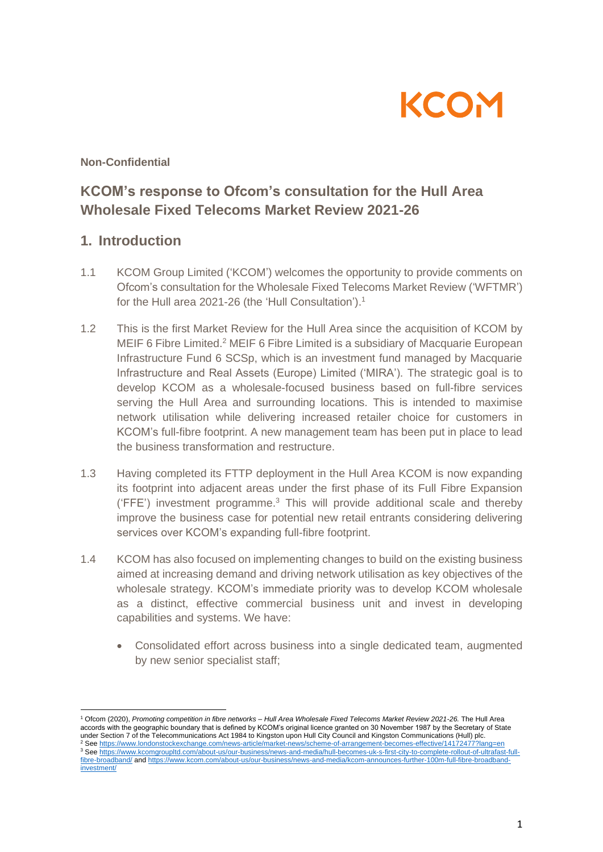

**Non-Confidential**

# **KCOM's response to Ofcom's consultation for the Hull Area Wholesale Fixed Telecoms Market Review 2021-26**

## **1. Introduction**

- 1.1 KCOM Group Limited ('KCOM') welcomes the opportunity to provide comments on Ofcom's consultation for the Wholesale Fixed Telecoms Market Review ('WFTMR') for the Hull area 2021-26 (the 'Hull Consultation').<sup>1</sup>
- 1.2 This is the first Market Review for the Hull Area since the acquisition of KCOM by MEIF 6 Fibre Limited.<sup>2</sup> MEIF 6 Fibre Limited is a subsidiary of Macquarie European Infrastructure Fund 6 SCSp, which is an investment fund managed by Macquarie Infrastructure and Real Assets (Europe) Limited ('MIRA'). The strategic goal is to develop KCOM as a wholesale-focused business based on full-fibre services serving the Hull Area and surrounding locations. This is intended to maximise network utilisation while delivering increased retailer choice for customers in KCOM's full-fibre footprint. A new management team has been put in place to lead the business transformation and restructure.
- 1.3 Having completed its FTTP deployment in the Hull Area KCOM is now expanding its footprint into adjacent areas under the first phase of its Full Fibre Expansion ('FFE') investment programme. <sup>3</sup> This will provide additional scale and thereby improve the business case for potential new retail entrants considering delivering services over KCOM's expanding full-fibre footprint.
- 1.4 KCOM has also focused on implementing changes to build on the existing business aimed at increasing demand and driving network utilisation as key objectives of the wholesale strategy. KCOM's immediate priority was to develop KCOM wholesale as a distinct, effective commercial business unit and invest in developing capabilities and systems. We have:
	- Consolidated effort across business into a single dedicated team, augmented by new senior specialist staff;

<sup>1</sup> Ofcom (2020), *Promoting competition in fibre networks – Hull Area Wholesale Fixed Telecoms Market Review 2021-26.* The Hull Area accords with the geographic boundary that is defined by KCOM's original licence granted on 30 November 1987 by the Secretary of State under Section 7 of the Telecommunications Act 1984 to Kingston upon Hull City Council and Kingston Communications (Hull) plc. 2 See <https://www.londonstockexchange.com/news-article/market-news/scheme-of-arrangement-becomes-effective/14172477?lang=en> 3 See [https://www.kcomgroupltd.com/about-us/our-business/news-and-media/hull-becomes-uk-s-first-city-to-complete-rollout-of-ultrafast-full](https://www.kcomgroupltd.com/about-us/our-business/news-and-media/hull-becomes-uk-s-first-city-to-complete-rollout-of-ultrafast-full-fibre-broadband/)[fibre-broadband/](https://www.kcomgroupltd.com/about-us/our-business/news-and-media/hull-becomes-uk-s-first-city-to-complete-rollout-of-ultrafast-full-fibre-broadband/) and [https://www.kcom.com/about-us/our-business/news-and-media/kcom-announces-further-100m-full-fibre-broadband](https://www.kcom.com/about-us/our-business/news-and-media/kcom-announces-further-100m-full-fibre-broadband-investment/)[investment/](https://www.kcom.com/about-us/our-business/news-and-media/kcom-announces-further-100m-full-fibre-broadband-investment/)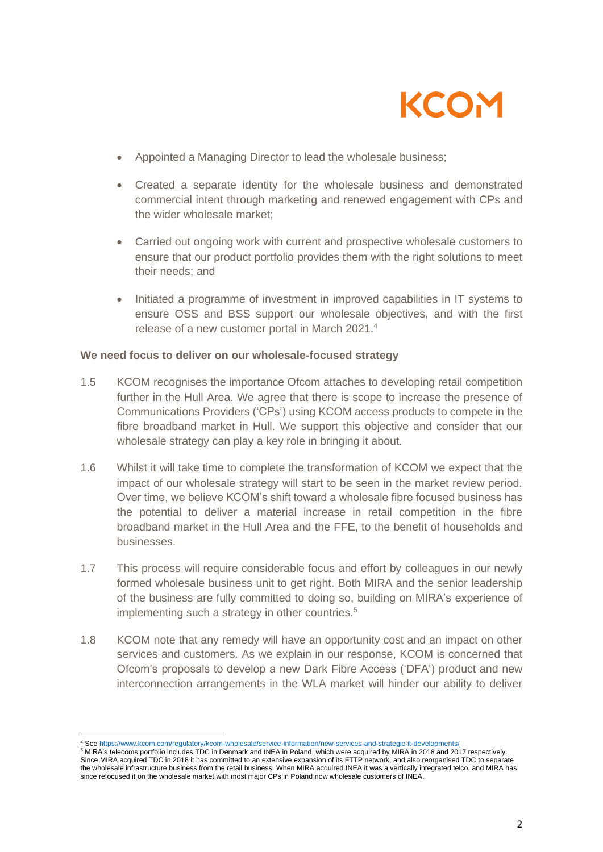

- Appointed a Managing Director to lead the wholesale business;
- Created a separate identity for the wholesale business and demonstrated commercial intent through marketing and renewed engagement with CPs and the wider wholesale market;
- Carried out ongoing work with current and prospective wholesale customers to ensure that our product portfolio provides them with the right solutions to meet their needs; and
- Initiated a programme of investment in improved capabilities in IT systems to ensure OSS and BSS support our wholesale objectives, and with the first release of a new customer portal in March 2021. 4

#### **We need focus to deliver on our wholesale-focused strategy**

- 1.5 KCOM recognises the importance Ofcom attaches to developing retail competition further in the Hull Area. We agree that there is scope to increase the presence of Communications Providers ('CPs') using KCOM access products to compete in the fibre broadband market in Hull. We support this objective and consider that our wholesale strategy can play a key role in bringing it about.
- 1.6 Whilst it will take time to complete the transformation of KCOM we expect that the impact of our wholesale strategy will start to be seen in the market review period. Over time, we believe KCOM's shift toward a wholesale fibre focused business has the potential to deliver a material increase in retail competition in the fibre broadband market in the Hull Area and the FFE, to the benefit of households and businesses.
- 1.7 This process will require considerable focus and effort by colleagues in our newly formed wholesale business unit to get right. Both MIRA and the senior leadership of the business are fully committed to doing so, building on MIRA's experience of implementing such a strategy in other countries.<sup>5</sup>
- 1.8 KCOM note that any remedy will have an opportunity cost and an impact on other services and customers. As we explain in our response, KCOM is concerned that Ofcom's proposals to develop a new Dark Fibre Access ('DFA') product and new interconnection arrangements in the WLA market will hinder our ability to deliver

<sup>4</sup> See https://www.kcom.com/regulatory/kcom-wholesale/service-information/new-services-and-strategic-it-developmen

<sup>5</sup> MIRA's telecoms portfolio includes TDC in Denmark and INEA in Poland, which were acquired by MIRA in 2018 and 2017 respectively. Since MIRA acquired TDC in 2018 it has committed to an extensive expansion of its FTTP network, and also reorganised TDC to separate the wholesale infrastructure business from the retail business. When MIRA acquired INEA it was a vertically integrated telco, and MIRA has since refocused it on the wholesale market with most major CPs in Poland now wholesale customers of INEA.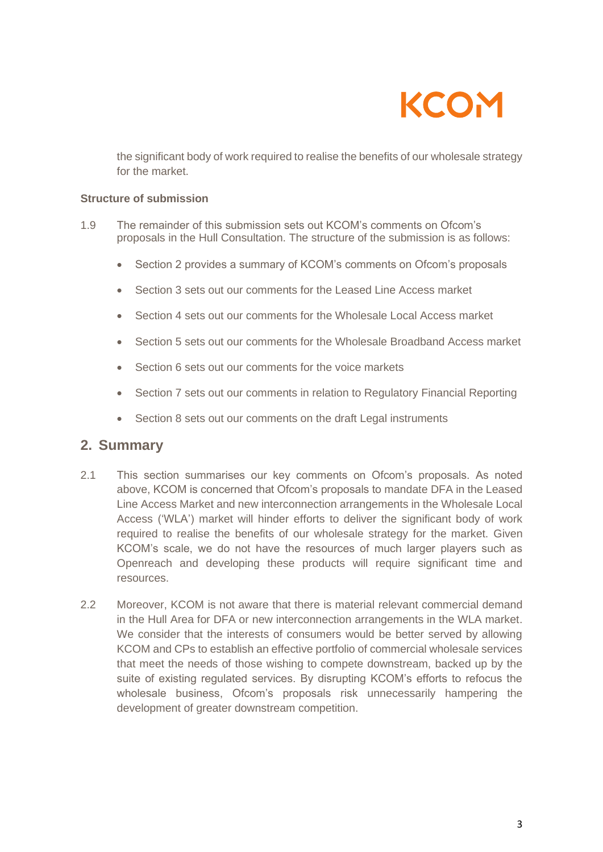

the significant body of work required to realise the benefits of our wholesale strategy for the market.

#### **Structure of submission**

- 1.9 The remainder of this submission sets out KCOM's comments on Ofcom's proposals in the Hull Consultation. The structure of the submission is as follows:
	- Section 2 provides a summary of KCOM's comments on Ofcom's proposals
	- Section 3 sets out our comments for the Leased Line Access market
	- Section 4 sets out our comments for the Wholesale Local Access market
	- Section 5 sets out our comments for the Wholesale Broadband Access market
	- Section 6 sets out our comments for the voice markets
	- Section 7 sets out our comments in relation to Regulatory Financial Reporting
	- Section 8 sets out our comments on the draft Legal instruments

## **2. Summary**

- 2.1 This section summarises our key comments on Ofcom's proposals. As noted above, KCOM is concerned that Ofcom's proposals to mandate DFA in the Leased Line Access Market and new interconnection arrangements in the Wholesale Local Access ('WLA') market will hinder efforts to deliver the significant body of work required to realise the benefits of our wholesale strategy for the market. Given KCOM's scale, we do not have the resources of much larger players such as Openreach and developing these products will require significant time and resources.
- 2.2 Moreover, KCOM is not aware that there is material relevant commercial demand in the Hull Area for DFA or new interconnection arrangements in the WLA market. We consider that the interests of consumers would be better served by allowing KCOM and CPs to establish an effective portfolio of commercial wholesale services that meet the needs of those wishing to compete downstream, backed up by the suite of existing regulated services. By disrupting KCOM's efforts to refocus the wholesale business, Ofcom's proposals risk unnecessarily hampering the development of greater downstream competition.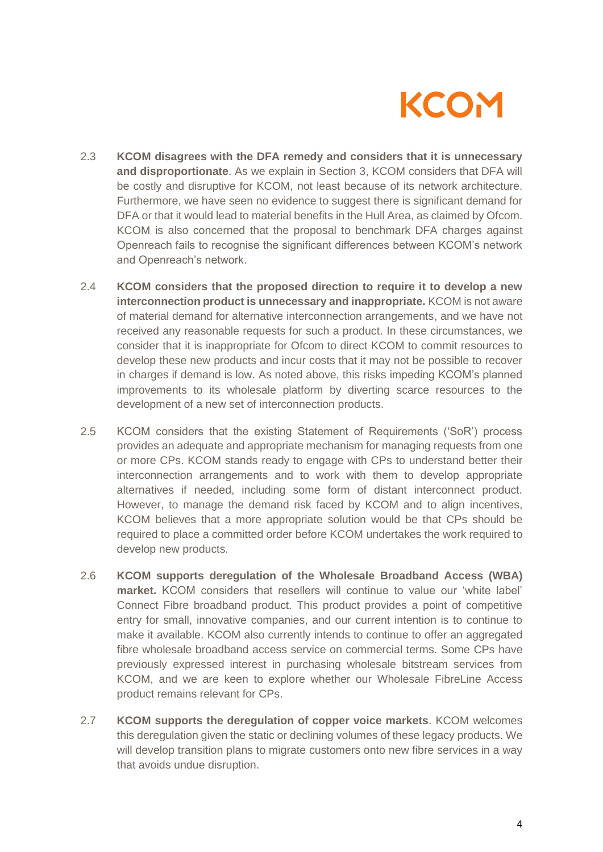

- 2.3 **KCOM disagrees with the DFA remedy and considers that it is unnecessary and disproportionate**. As we explain in Section 3, KCOM considers that DFA will be costly and disruptive for KCOM, not least because of its network architecture. Furthermore, we have seen no evidence to suggest there is significant demand for DFA or that it would lead to material benefits in the Hull Area, as claimed by Ofcom. KCOM is also concerned that the proposal to benchmark DFA charges against Openreach fails to recognise the significant differences between KCOM's network and Openreach's network.
- 2.4 **KCOM considers that the proposed direction to require it to develop a new interconnection product is unnecessary and inappropriate.** KCOM is not aware of material demand for alternative interconnection arrangements, and we have not received any reasonable requests for such a product. In these circumstances, we consider that it is inappropriate for Ofcom to direct KCOM to commit resources to develop these new products and incur costs that it may not be possible to recover in charges if demand is low. As noted above, this risks impeding KCOM's planned improvements to its wholesale platform by diverting scarce resources to the development of a new set of interconnection products.
- 2.5 KCOM considers that the existing Statement of Requirements ('SoR') process provides an adequate and appropriate mechanism for managing requests from one or more CPs. KCOM stands ready to engage with CPs to understand better their interconnection arrangements and to work with them to develop appropriate alternatives if needed, including some form of distant interconnect product. However, to manage the demand risk faced by KCOM and to align incentives, KCOM believes that a more appropriate solution would be that CPs should be required to place a committed order before KCOM undertakes the work required to develop new products.
- 2.6 **KCOM supports deregulation of the Wholesale Broadband Access (WBA) market.** KCOM considers that resellers will continue to value our 'white label' Connect Fibre broadband product. This product provides a point of competitive entry for small, innovative companies, and our current intention is to continue to make it available. KCOM also currently intends to continue to offer an aggregated fibre wholesale broadband access service on commercial terms. Some CPs have previously expressed interest in purchasing wholesale bitstream services from KCOM, and we are keen to explore whether our Wholesale FibreLine Access product remains relevant for CPs.
- 2.7 **KCOM supports the deregulation of copper voice markets**. KCOM welcomes this deregulation given the static or declining volumes of these legacy products. We will develop transition plans to migrate customers onto new fibre services in a way that avoids undue disruption.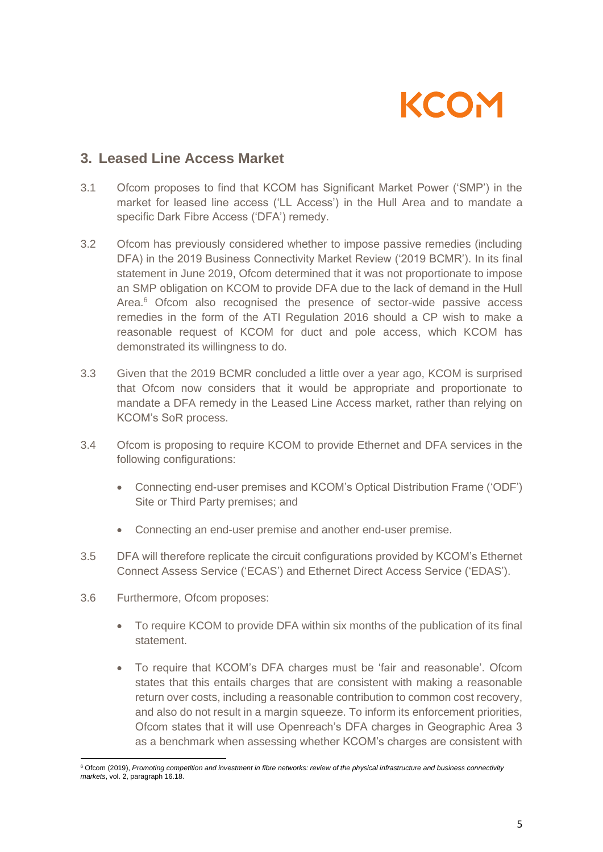

## **3. Leased Line Access Market**

- 3.1 Ofcom proposes to find that KCOM has Significant Market Power ('SMP') in the market for leased line access ('LL Access') in the Hull Area and to mandate a specific Dark Fibre Access ('DFA') remedy.
- 3.2 Ofcom has previously considered whether to impose passive remedies (including DFA) in the 2019 Business Connectivity Market Review ('2019 BCMR'). In its final statement in June 2019, Ofcom determined that it was not proportionate to impose an SMP obligation on KCOM to provide DFA due to the lack of demand in the Hull Area.<sup>6</sup> Ofcom also recognised the presence of sector-wide passive access remedies in the form of the ATI Regulation 2016 should a CP wish to make a reasonable request of KCOM for duct and pole access, which KCOM has demonstrated its willingness to do.
- 3.3 Given that the 2019 BCMR concluded a little over a year ago, KCOM is surprised that Ofcom now considers that it would be appropriate and proportionate to mandate a DFA remedy in the Leased Line Access market, rather than relying on KCOM's SoR process.
- 3.4 Ofcom is proposing to require KCOM to provide Ethernet and DFA services in the following configurations:
	- Connecting end-user premises and KCOM's Optical Distribution Frame ('ODF') Site or Third Party premises; and
	- Connecting an end-user premise and another end-user premise.
- 3.5 DFA will therefore replicate the circuit configurations provided by KCOM's Ethernet Connect Assess Service ('ECAS') and Ethernet Direct Access Service ('EDAS').
- 3.6 Furthermore, Ofcom proposes:
	- To require KCOM to provide DFA within six months of the publication of its final statement.
	- To require that KCOM's DFA charges must be 'fair and reasonable'. Ofcom states that this entails charges that are consistent with making a reasonable return over costs, including a reasonable contribution to common cost recovery, and also do not result in a margin squeeze. To inform its enforcement priorities, Ofcom states that it will use Openreach's DFA charges in Geographic Area 3 as a benchmark when assessing whether KCOM's charges are consistent with

<sup>6</sup> Ofcom (2019), *Promoting competition and investment in fibre networks: review of the physical infrastructure and business connectivity markets*, vol. 2, paragraph 16.18.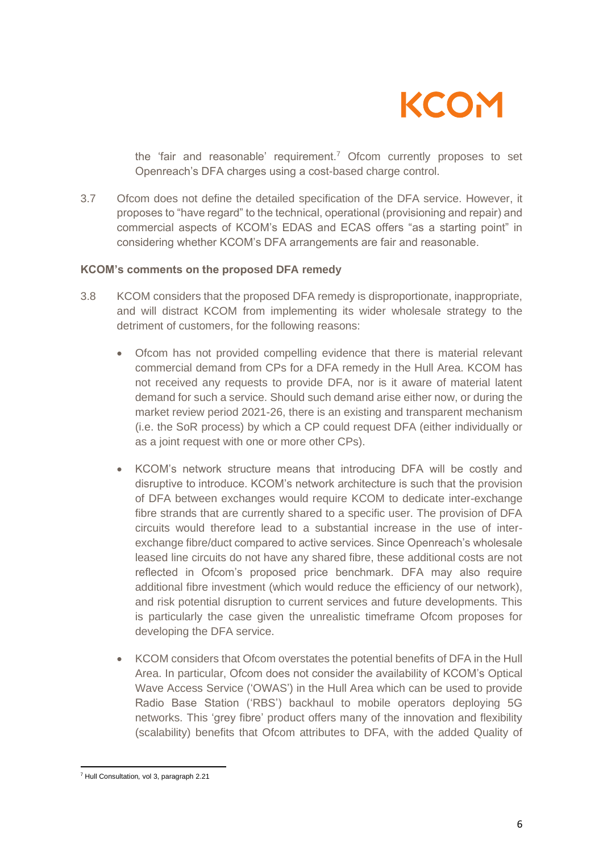

the 'fair and reasonable' requirement.<sup>7</sup> Ofcom currently proposes to set Openreach's DFA charges using a cost-based charge control.

3.7 Ofcom does not define the detailed specification of the DFA service. However, it proposes to "have regard" to the technical, operational (provisioning and repair) and commercial aspects of KCOM's EDAS and ECAS offers "as a starting point" in considering whether KCOM's DFA arrangements are fair and reasonable.

#### **KCOM's comments on the proposed DFA remedy**

- 3.8 KCOM considers that the proposed DFA remedy is disproportionate, inappropriate, and will distract KCOM from implementing its wider wholesale strategy to the detriment of customers, for the following reasons:
	- Ofcom has not provided compelling evidence that there is material relevant commercial demand from CPs for a DFA remedy in the Hull Area. KCOM has not received any requests to provide DFA, nor is it aware of material latent demand for such a service. Should such demand arise either now, or during the market review period 2021-26, there is an existing and transparent mechanism (i.e. the SoR process) by which a CP could request DFA (either individually or as a joint request with one or more other CPs).
	- KCOM's network structure means that introducing DFA will be costly and disruptive to introduce. KCOM's network architecture is such that the provision of DFA between exchanges would require KCOM to dedicate inter-exchange fibre strands that are currently shared to a specific user. The provision of DFA circuits would therefore lead to a substantial increase in the use of interexchange fibre/duct compared to active services. Since Openreach's wholesale leased line circuits do not have any shared fibre, these additional costs are not reflected in Ofcom's proposed price benchmark. DFA may also require additional fibre investment (which would reduce the efficiency of our network), and risk potential disruption to current services and future developments. This is particularly the case given the unrealistic timeframe Ofcom proposes for developing the DFA service.
	- KCOM considers that Ofcom overstates the potential benefits of DFA in the Hull Area. In particular, Ofcom does not consider the availability of KCOM's Optical Wave Access Service ('OWAS') in the Hull Area which can be used to provide Radio Base Station ('RBS') backhaul to mobile operators deploying 5G networks. This 'grey fibre' product offers many of the innovation and flexibility (scalability) benefits that Ofcom attributes to DFA, with the added Quality of

<sup>7</sup> Hull Consultation*,* vol 3, paragraph 2.21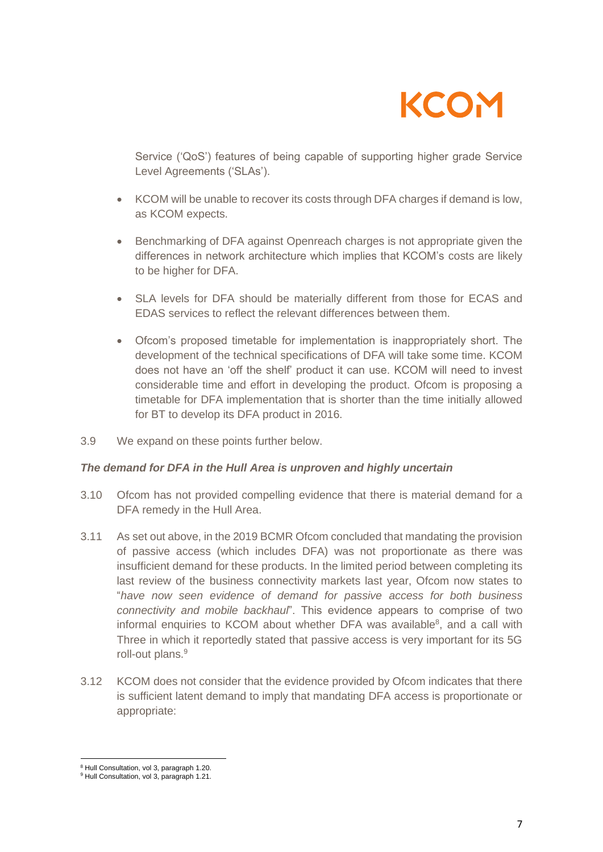

Service ('QoS') features of being capable of supporting higher grade Service Level Agreements ('SLAs').

- KCOM will be unable to recover its costs through DFA charges if demand is low, as KCOM expects.
- Benchmarking of DFA against Openreach charges is not appropriate given the differences in network architecture which implies that KCOM's costs are likely to be higher for DFA.
- SLA levels for DFA should be materially different from those for ECAS and EDAS services to reflect the relevant differences between them.
- Ofcom's proposed timetable for implementation is inappropriately short. The development of the technical specifications of DFA will take some time. KCOM does not have an 'off the shelf' product it can use. KCOM will need to invest considerable time and effort in developing the product. Ofcom is proposing a timetable for DFA implementation that is shorter than the time initially allowed for BT to develop its DFA product in 2016.
- 3.9 We expand on these points further below.

#### *The demand for DFA in the Hull Area is unproven and highly uncertain*

- 3.10 Ofcom has not provided compelling evidence that there is material demand for a DFA remedy in the Hull Area.
- 3.11 As set out above, in the 2019 BCMR Ofcom concluded that mandating the provision of passive access (which includes DFA) was not proportionate as there was insufficient demand for these products. In the limited period between completing its last review of the business connectivity markets last year, Ofcom now states to "*have now seen evidence of demand for passive access for both business connectivity and mobile backhaul*". This evidence appears to comprise of two informal enquiries to KCOM about whether DFA was available<sup>8</sup>, and a call with Three in which it reportedly stated that passive access is very important for its 5G roll-out plans.<sup>9</sup>
- 3.12 KCOM does not consider that the evidence provided by Ofcom indicates that there is sufficient latent demand to imply that mandating DFA access is proportionate or appropriate:

<sup>8</sup> Hull Consultation, vol 3, paragraph 1.20.

<sup>&</sup>lt;sup>9</sup> Hull Consultation, vol 3, paragraph 1.21.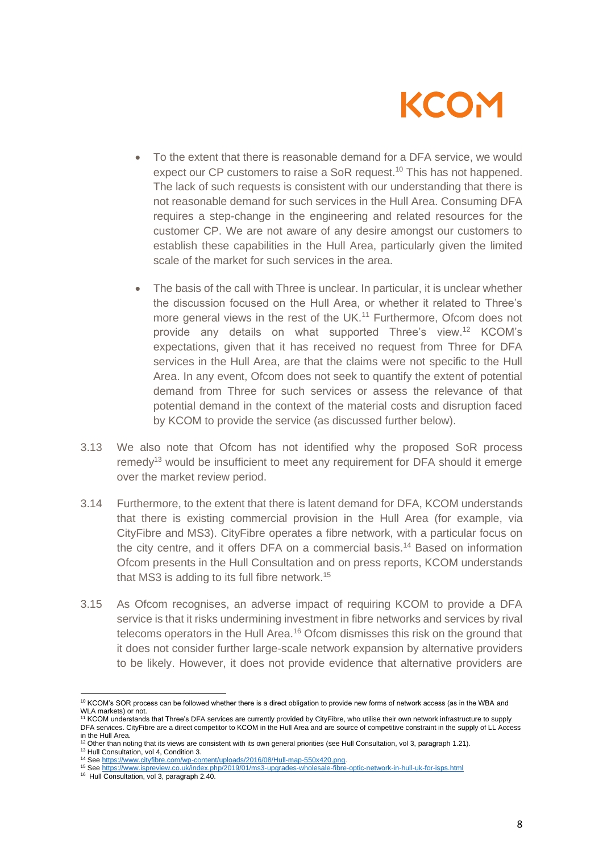

- To the extent that there is reasonable demand for a DFA service, we would expect our CP customers to raise a SoR request.<sup>10</sup> This has not happened. The lack of such requests is consistent with our understanding that there is not reasonable demand for such services in the Hull Area. Consuming DFA requires a step-change in the engineering and related resources for the customer CP. We are not aware of any desire amongst our customers to establish these capabilities in the Hull Area, particularly given the limited scale of the market for such services in the area.
- The basis of the call with Three is unclear. In particular, it is unclear whether the discussion focused on the Hull Area, or whether it related to Three's more general views in the rest of the UK.<sup>11</sup> Furthermore, Ofcom does not provide any details on what supported Three's view.<sup>12</sup> KCOM's expectations, given that it has received no request from Three for DFA services in the Hull Area, are that the claims were not specific to the Hull Area. In any event, Ofcom does not seek to quantify the extent of potential demand from Three for such services or assess the relevance of that potential demand in the context of the material costs and disruption faced by KCOM to provide the service (as discussed further below).
- 3.13 We also note that Ofcom has not identified why the proposed SoR process remedy<sup>13</sup> would be insufficient to meet any requirement for DFA should it emerge over the market review period.
- 3.14 Furthermore, to the extent that there is latent demand for DFA, KCOM understands that there is existing commercial provision in the Hull Area (for example, via CityFibre and MS3). CityFibre operates a fibre network, with a particular focus on the city centre, and it offers DFA on a commercial basis.<sup>14</sup> Based on information Ofcom presents in the Hull Consultation and on press reports, KCOM understands that MS3 is adding to its full fibre network.<sup>15</sup>
- 3.15 As Ofcom recognises, an adverse impact of requiring KCOM to provide a DFA service is that it risks undermining investment in fibre networks and services by rival telecoms operators in the Hull Area.<sup>16</sup> Ofcom dismisses this risk on the ground that it does not consider further large-scale network expansion by alternative providers to be likely. However, it does not provide evidence that alternative providers are

<sup>13</sup> Hull Consultation, vol 4, Condition 3.

<sup>&</sup>lt;sup>10</sup> KCOM's SOR process can be followed whether there is a direct obligation to provide new forms of network access (as in the WBA and WLA markets) or not.

<sup>11</sup> KCOM understands that Three's DFA services are currently provided by CityFibre, who utilise their own network infrastructure to supply DFA services. CityFibre are a direct competitor to KCOM in the Hull Area and are source of competitive constraint in the supply of LL Access in the Hull Area.

<sup>12</sup> Other than noting that its views are consistent with its own general priorities (see Hull Consultation, vol 3, paragraph 1.21).

<sup>&</sup>lt;sup>14</sup> Se[e https://www.cityfibre.com/wp-content/uploads/2016/08/Hull-map-550x420.png.](https://www.cityfibre.com/wp-content/uploads/2016/08/Hull-map-550x420.png)

<sup>15</sup> Se[e https://www.ispreview.co.uk/index.php/2019/01/ms3-upgrades-wholesale-fibre-optic-network-in-hull-uk-for-isps.html](https://www.ispreview.co.uk/index.php/2019/01/ms3-upgrades-wholesale-fibre-optic-network-in-hull-uk-for-isps.html)

<sup>16</sup> Hull Consultation, vol 3, paragraph 2.40.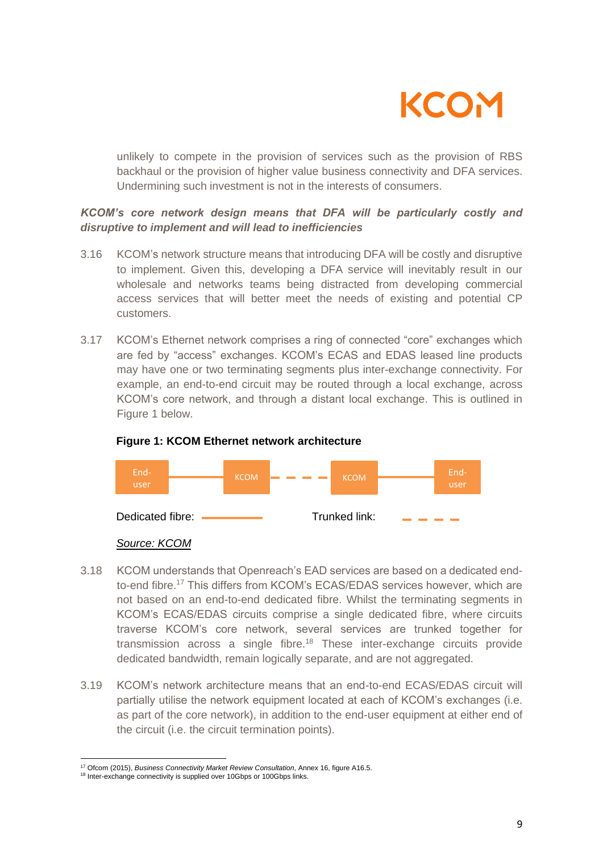

unlikely to compete in the provision of services such as the provision of RBS backhaul or the provision of higher value business connectivity and DFA services. Undermining such investment is not in the interests of consumers.

## *KCOM's core network design means that DFA will be particularly costly and disruptive to implement and will lead to inefficiencies*

- 3.16 KCOM's network structure means that introducing DFA will be costly and disruptive to implement. Given this, developing a DFA service will inevitably result in our wholesale and networks teams being distracted from developing commercial access services that will better meet the needs of existing and potential CP customers.
- 3.17 KCOM's Ethernet network comprises a ring of connected "core" exchanges which are fed by "access" exchanges. KCOM's ECAS and EDAS leased line products may have one or two terminating segments plus inter-exchange connectivity. For example, an end-to-end circuit may be routed through a local exchange, across KCOM's core network, and through a distant local exchange. This is outlined in Figure 1 below.



#### **Figure 1: KCOM Ethernet network architecture**

#### *Source: KCOM*

- 3.18 KCOM understands that Openreach's EAD services are based on a dedicated endto-end fibre.<sup>17</sup> This differs from KCOM's ECAS/EDAS services however, which are not based on an end-to-end dedicated fibre. Whilst the terminating segments in KCOM's ECAS/EDAS circuits comprise a single dedicated fibre, where circuits traverse KCOM's core network, several services are trunked together for transmission across a single fibre.<sup>18</sup> These inter-exchange circuits provide dedicated bandwidth, remain logically separate, and are not aggregated.
- 3.19 KCOM's network architecture means that an end-to-end ECAS/EDAS circuit will partially utilise the network equipment located at each of KCOM's exchanges (i.e. as part of the core network), in addition to the end-user equipment at either end of the circuit (i.e. the circuit termination points).

<sup>17</sup> Ofcom (2015), *Business Connectivity Market Review Consultation*, Annex 16, figure A16.5.

<sup>18</sup> Inter-exchange connectivity is supplied over 10Gbps or 100Gbps links.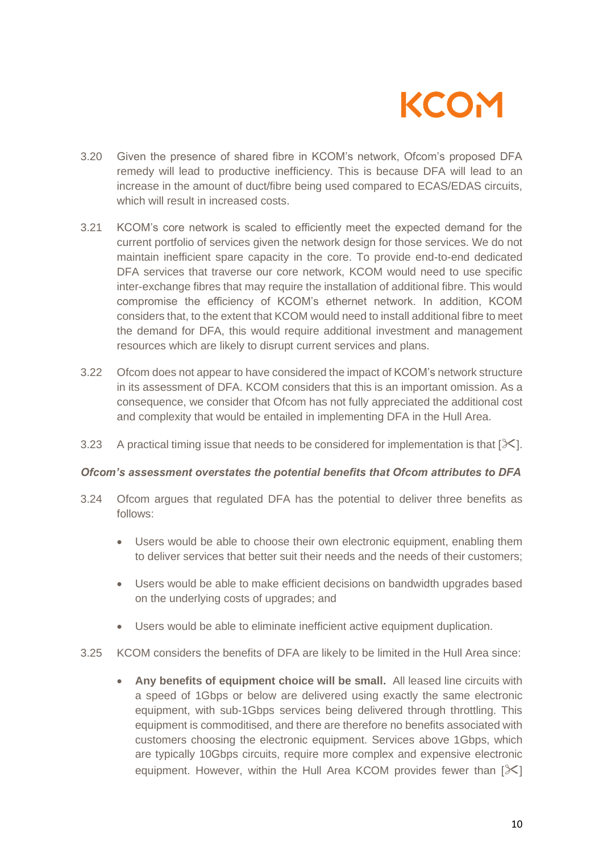

- 3.20 Given the presence of shared fibre in KCOM's network, Ofcom's proposed DFA remedy will lead to productive inefficiency. This is because DFA will lead to an increase in the amount of duct/fibre being used compared to ECAS/EDAS circuits, which will result in increased costs.
- 3.21 KCOM's core network is scaled to efficiently meet the expected demand for the current portfolio of services given the network design for those services. We do not maintain inefficient spare capacity in the core. To provide end-to-end dedicated DFA services that traverse our core network, KCOM would need to use specific inter-exchange fibres that may require the installation of additional fibre. This would compromise the efficiency of KCOM's ethernet network. In addition, KCOM considers that, to the extent that KCOM would need to install additional fibre to meet the demand for DFA, this would require additional investment and management resources which are likely to disrupt current services and plans.
- 3.22 Ofcom does not appear to have considered the impact of KCOM's network structure in its assessment of DFA. KCOM considers that this is an important omission. As a consequence, we consider that Ofcom has not fully appreciated the additional cost and complexity that would be entailed in implementing DFA in the Hull Area.
- 3.23 A practical timing issue that needs to be considered for implementation is that  $[\mathcal{K}]$ .

#### *Ofcom's assessment overstates the potential benefits that Ofcom attributes to DFA*

- 3.24 Ofcom argues that regulated DFA has the potential to deliver three benefits as follows:
	- Users would be able to choose their own electronic equipment, enabling them to deliver services that better suit their needs and the needs of their customers;
	- Users would be able to make efficient decisions on bandwidth upgrades based on the underlying costs of upgrades; and
	- Users would be able to eliminate inefficient active equipment duplication.
- 3.25 KCOM considers the benefits of DFA are likely to be limited in the Hull Area since:
	- **Any benefits of equipment choice will be small.** All leased line circuits with a speed of 1Gbps or below are delivered using exactly the same electronic equipment, with sub-1Gbps services being delivered through throttling. This equipment is commoditised, and there are therefore no benefits associated with customers choosing the electronic equipment. Services above 1Gbps, which are typically 10Gbps circuits, require more complex and expensive electronic equipment. However, within the Hull Area KCOM provides fewer than  $[\mathcal{K}]$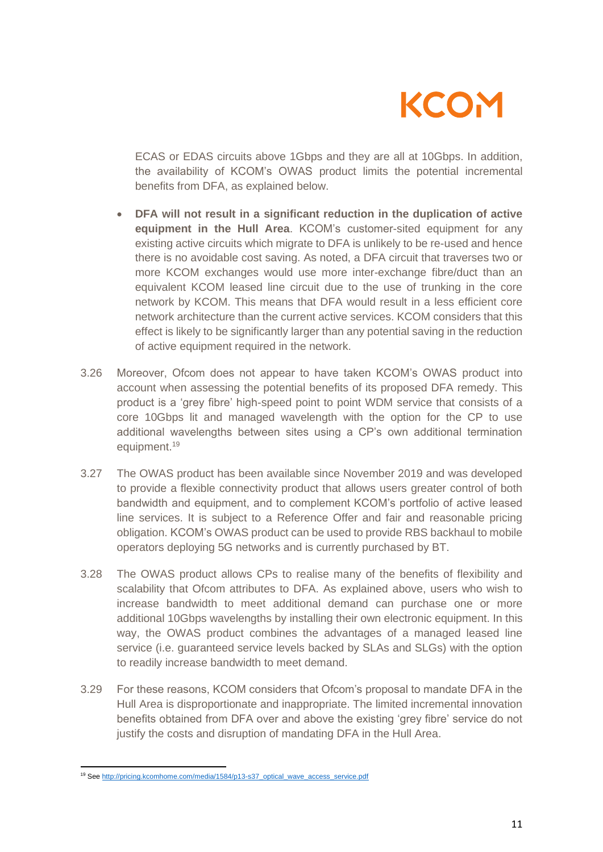

ECAS or EDAS circuits above 1Gbps and they are all at 10Gbps. In addition, the availability of KCOM's OWAS product limits the potential incremental benefits from DFA, as explained below.

- **DFA will not result in a significant reduction in the duplication of active equipment in the Hull Area**. KCOM's customer-sited equipment for any existing active circuits which migrate to DFA is unlikely to be re-used and hence there is no avoidable cost saving. As noted, a DFA circuit that traverses two or more KCOM exchanges would use more inter-exchange fibre/duct than an equivalent KCOM leased line circuit due to the use of trunking in the core network by KCOM. This means that DFA would result in a less efficient core network architecture than the current active services. KCOM considers that this effect is likely to be significantly larger than any potential saving in the reduction of active equipment required in the network.
- 3.26 Moreover, Ofcom does not appear to have taken KCOM's OWAS product into account when assessing the potential benefits of its proposed DFA remedy. This product is a 'grey fibre' high-speed point to point WDM service that consists of a core 10Gbps lit and managed wavelength with the option for the CP to use additional wavelengths between sites using a CP's own additional termination equipment.<sup>19</sup>
- 3.27 The OWAS product has been available since November 2019 and was developed to provide a flexible connectivity product that allows users greater control of both bandwidth and equipment, and to complement KCOM's portfolio of active leased line services. It is subject to a Reference Offer and fair and reasonable pricing obligation. KCOM's OWAS product can be used to provide RBS backhaul to mobile operators deploying 5G networks and is currently purchased by BT.
- 3.28 The OWAS product allows CPs to realise many of the benefits of flexibility and scalability that Ofcom attributes to DFA. As explained above, users who wish to increase bandwidth to meet additional demand can purchase one or more additional 10Gbps wavelengths by installing their own electronic equipment. In this way, the OWAS product combines the advantages of a managed leased line service (i.e. guaranteed service levels backed by SLAs and SLGs) with the option to readily increase bandwidth to meet demand.
- 3.29 For these reasons, KCOM considers that Ofcom's proposal to mandate DFA in the Hull Area is disproportionate and inappropriate. The limited incremental innovation benefits obtained from DFA over and above the existing 'grey fibre' service do not justify the costs and disruption of mandating DFA in the Hull Area.

<sup>&</sup>lt;sup>19</sup> Se[e http://pricing.kcomhome.com/media/1584/p13-s37\\_optical\\_wave\\_access\\_service.pdf](http://pricing.kcomhome.com/media/1584/p13-s37_optical_wave_access_service.pdf)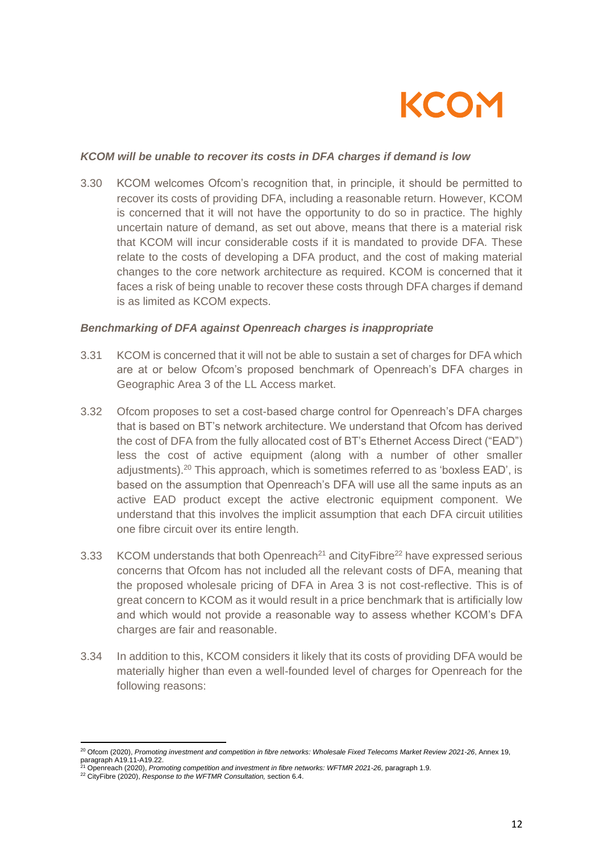

#### *KCOM will be unable to recover its costs in DFA charges if demand is low*

3.30 KCOM welcomes Ofcom's recognition that, in principle, it should be permitted to recover its costs of providing DFA, including a reasonable return. However, KCOM is concerned that it will not have the opportunity to do so in practice. The highly uncertain nature of demand, as set out above, means that there is a material risk that KCOM will incur considerable costs if it is mandated to provide DFA. These relate to the costs of developing a DFA product, and the cost of making material changes to the core network architecture as required. KCOM is concerned that it faces a risk of being unable to recover these costs through DFA charges if demand is as limited as KCOM expects.

#### *Benchmarking of DFA against Openreach charges is inappropriate*

- 3.31 KCOM is concerned that it will not be able to sustain a set of charges for DFA which are at or below Ofcom's proposed benchmark of Openreach's DFA charges in Geographic Area 3 of the LL Access market.
- 3.32 Ofcom proposes to set a cost-based charge control for Openreach's DFA charges that is based on BT's network architecture. We understand that Ofcom has derived the cost of DFA from the fully allocated cost of BT's Ethernet Access Direct ("EAD") less the cost of active equipment (along with a number of other smaller adjustments).<sup>20</sup> This approach, which is sometimes referred to as 'boxless EAD', is based on the assumption that Openreach's DFA will use all the same inputs as an active EAD product except the active electronic equipment component. We understand that this involves the implicit assumption that each DFA circuit utilities one fibre circuit over its entire length.
- 3.33 KCOM understands that both Openreach<sup>21</sup> and CityFibre<sup>22</sup> have expressed serious concerns that Ofcom has not included all the relevant costs of DFA, meaning that the proposed wholesale pricing of DFA in Area 3 is not cost-reflective. This is of great concern to KCOM as it would result in a price benchmark that is artificially low and which would not provide a reasonable way to assess whether KCOM's DFA charges are fair and reasonable.
- 3.34 In addition to this, KCOM considers it likely that its costs of providing DFA would be materially higher than even a well-founded level of charges for Openreach for the following reasons:

<sup>20</sup> Ofcom (2020), *Promoting investment and competition in fibre networks: Wholesale Fixed Telecoms Market Review 2021-26*, Annex 19, paragraph A19.11-A19.22.

<sup>21</sup> Openreach (2020), *Promoting competition and investment in fibre networks: WFTMR 2021-26,* paragraph 1.9.

<sup>22</sup> CityFibre (2020), *Response to the WFTMR Consultation,* section 6.4.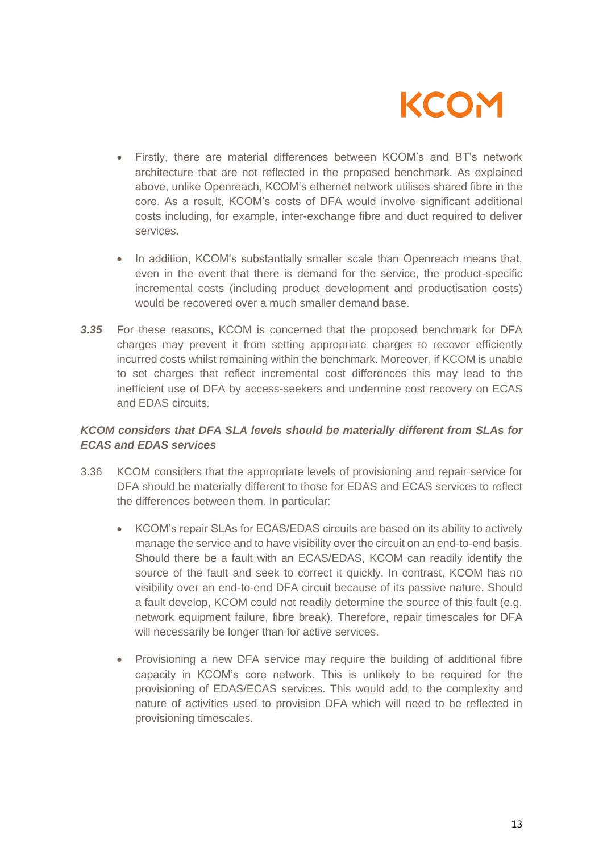

- Firstly, there are material differences between KCOM's and BT's network architecture that are not reflected in the proposed benchmark. As explained above, unlike Openreach, KCOM's ethernet network utilises shared fibre in the core. As a result, KCOM's costs of DFA would involve significant additional costs including, for example, inter-exchange fibre and duct required to deliver services.
- In addition, KCOM's substantially smaller scale than Openreach means that, even in the event that there is demand for the service, the product-specific incremental costs (including product development and productisation costs) would be recovered over a much smaller demand base.
- *3.35* For these reasons, KCOM is concerned that the proposed benchmark for DFA charges may prevent it from setting appropriate charges to recover efficiently incurred costs whilst remaining within the benchmark. Moreover, if KCOM is unable to set charges that reflect incremental cost differences this may lead to the inefficient use of DFA by access-seekers and undermine cost recovery on ECAS and EDAS circuits.

## *KCOM considers that DFA SLA levels should be materially different from SLAs for ECAS and EDAS services*

- 3.36 KCOM considers that the appropriate levels of provisioning and repair service for DFA should be materially different to those for EDAS and ECAS services to reflect the differences between them. In particular:
	- KCOM's repair SLAs for ECAS/EDAS circuits are based on its ability to actively manage the service and to have visibility over the circuit on an end-to-end basis. Should there be a fault with an ECAS/EDAS, KCOM can readily identify the source of the fault and seek to correct it quickly. In contrast, KCOM has no visibility over an end-to-end DFA circuit because of its passive nature. Should a fault develop, KCOM could not readily determine the source of this fault (e.g. network equipment failure, fibre break). Therefore, repair timescales for DFA will necessarily be longer than for active services.
	- Provisioning a new DFA service may require the building of additional fibre capacity in KCOM's core network. This is unlikely to be required for the provisioning of EDAS/ECAS services. This would add to the complexity and nature of activities used to provision DFA which will need to be reflected in provisioning timescales.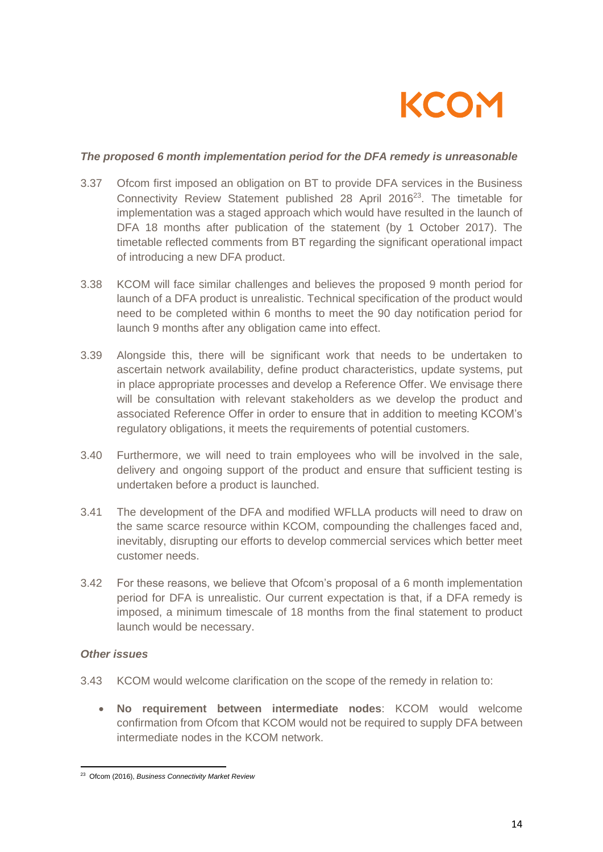

#### *The proposed 6 month implementation period for the DFA remedy is unreasonable*

- 3.37 Ofcom first imposed an obligation on BT to provide DFA services in the Business Connectivity Review Statement published 28 April 2016<sup>23</sup>. The timetable for implementation was a staged approach which would have resulted in the launch of DFA 18 months after publication of the statement (by 1 October 2017). The timetable reflected comments from BT regarding the significant operational impact of introducing a new DFA product.
- 3.38 KCOM will face similar challenges and believes the proposed 9 month period for launch of a DFA product is unrealistic. Technical specification of the product would need to be completed within 6 months to meet the 90 day notification period for launch 9 months after any obligation came into effect.
- 3.39 Alongside this, there will be significant work that needs to be undertaken to ascertain network availability, define product characteristics, update systems, put in place appropriate processes and develop a Reference Offer. We envisage there will be consultation with relevant stakeholders as we develop the product and associated Reference Offer in order to ensure that in addition to meeting KCOM's regulatory obligations, it meets the requirements of potential customers.
- 3.40 Furthermore, we will need to train employees who will be involved in the sale, delivery and ongoing support of the product and ensure that sufficient testing is undertaken before a product is launched.
- 3.41 The development of the DFA and modified WFLLA products will need to draw on the same scarce resource within KCOM, compounding the challenges faced and, inevitably, disrupting our efforts to develop commercial services which better meet customer needs.
- 3.42 For these reasons, we believe that Ofcom's proposal of a 6 month implementation period for DFA is unrealistic. Our current expectation is that, if a DFA remedy is imposed, a minimum timescale of 18 months from the final statement to product launch would be necessary.

#### *Other issues*

- 3.43 KCOM would welcome clarification on the scope of the remedy in relation to:
	- **No requirement between intermediate nodes**: KCOM would welcome confirmation from Ofcom that KCOM would not be required to supply DFA between intermediate nodes in the KCOM network.

<sup>23</sup> Ofcom (2016), *Business Connectivity Market Review*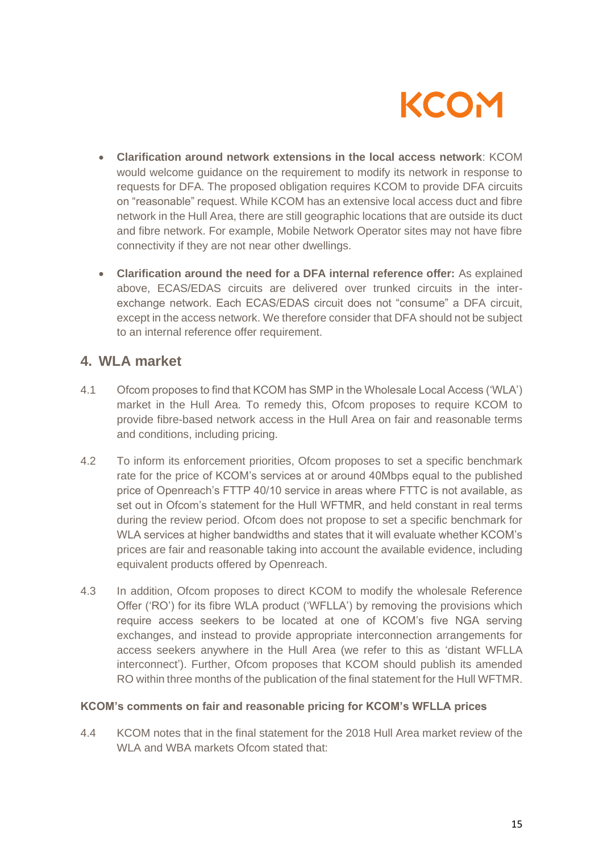

- **Clarification around network extensions in the local access network**: KCOM would welcome guidance on the requirement to modify its network in response to requests for DFA. The proposed obligation requires KCOM to provide DFA circuits on "reasonable" request. While KCOM has an extensive local access duct and fibre network in the Hull Area, there are still geographic locations that are outside its duct and fibre network. For example, Mobile Network Operator sites may not have fibre connectivity if they are not near other dwellings.
- **Clarification around the need for a DFA internal reference offer:** As explained above, ECAS/EDAS circuits are delivered over trunked circuits in the interexchange network. Each ECAS/EDAS circuit does not "consume" a DFA circuit, except in the access network. We therefore consider that DFA should not be subject to an internal reference offer requirement.

## **4. WLA market**

- 4.1 Ofcom proposes to find that KCOM has SMP in the Wholesale Local Access ('WLA') market in the Hull Area. To remedy this, Ofcom proposes to require KCOM to provide fibre-based network access in the Hull Area on fair and reasonable terms and conditions, including pricing.
- 4.2 To inform its enforcement priorities, Ofcom proposes to set a specific benchmark rate for the price of KCOM's services at or around 40Mbps equal to the published price of Openreach's FTTP 40/10 service in areas where FTTC is not available, as set out in Ofcom's statement for the Hull WFTMR, and held constant in real terms during the review period. Ofcom does not propose to set a specific benchmark for WLA services at higher bandwidths and states that it will evaluate whether KCOM's prices are fair and reasonable taking into account the available evidence, including equivalent products offered by Openreach.
- 4.3 In addition, Ofcom proposes to direct KCOM to modify the wholesale Reference Offer ('RO') for its fibre WLA product ('WFLLA') by removing the provisions which require access seekers to be located at one of KCOM's five NGA serving exchanges, and instead to provide appropriate interconnection arrangements for access seekers anywhere in the Hull Area (we refer to this as 'distant WFLLA interconnect'). Further, Ofcom proposes that KCOM should publish its amended RO within three months of the publication of the final statement for the Hull WFTMR.

#### **KCOM's comments on fair and reasonable pricing for KCOM's WFLLA prices**

4.4 KCOM notes that in the final statement for the 2018 Hull Area market review of the WI A and WBA markets Ofcom stated that: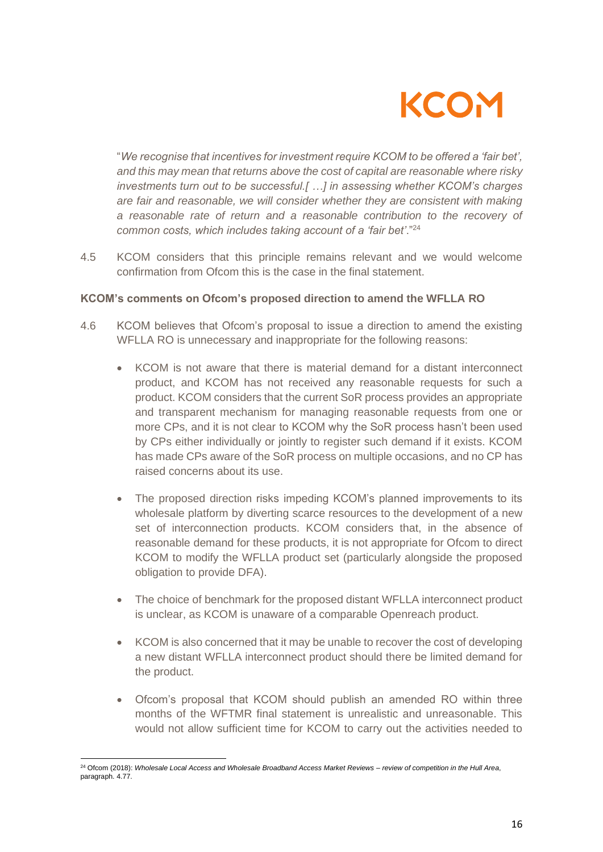

"*We recognise that incentives for investment require KCOM to be offered a 'fair bet', and this may mean that returns above the cost of capital are reasonable where risky investments turn out to be successful.[ …] in assessing whether KCOM's charges are fair and reasonable, we will consider whether they are consistent with making a reasonable rate of return and a reasonable contribution to the recovery of common costs, which includes taking account of a 'fair bet'*."<sup>24</sup>

4.5 KCOM considers that this principle remains relevant and we would welcome confirmation from Ofcom this is the case in the final statement.

#### **KCOM's comments on Ofcom's proposed direction to amend the WFLLA RO**

- 4.6 KCOM believes that Ofcom's proposal to issue a direction to amend the existing WFLLA RO is unnecessary and inappropriate for the following reasons:
	- KCOM is not aware that there is material demand for a distant interconnect product, and KCOM has not received any reasonable requests for such a product. KCOM considers that the current SoR process provides an appropriate and transparent mechanism for managing reasonable requests from one or more CPs, and it is not clear to KCOM why the SoR process hasn't been used by CPs either individually or jointly to register such demand if it exists. KCOM has made CPs aware of the SoR process on multiple occasions, and no CP has raised concerns about its use.
	- The proposed direction risks impeding KCOM's planned improvements to its wholesale platform by diverting scarce resources to the development of a new set of interconnection products. KCOM considers that, in the absence of reasonable demand for these products, it is not appropriate for Ofcom to direct KCOM to modify the WFLLA product set (particularly alongside the proposed obligation to provide DFA).
	- The choice of benchmark for the proposed distant WFLLA interconnect product is unclear, as KCOM is unaware of a comparable Openreach product.
	- KCOM is also concerned that it may be unable to recover the cost of developing a new distant WFLLA interconnect product should there be limited demand for the product.
	- Ofcom's proposal that KCOM should publish an amended RO within three months of the WFTMR final statement is unrealistic and unreasonable. This would not allow sufficient time for KCOM to carry out the activities needed to

<sup>24</sup> Ofcom (2018): *Wholesale Local Access and Wholesale Broadband Access Market Reviews – review of competition in the Hull Area*, paragraph. 4.77.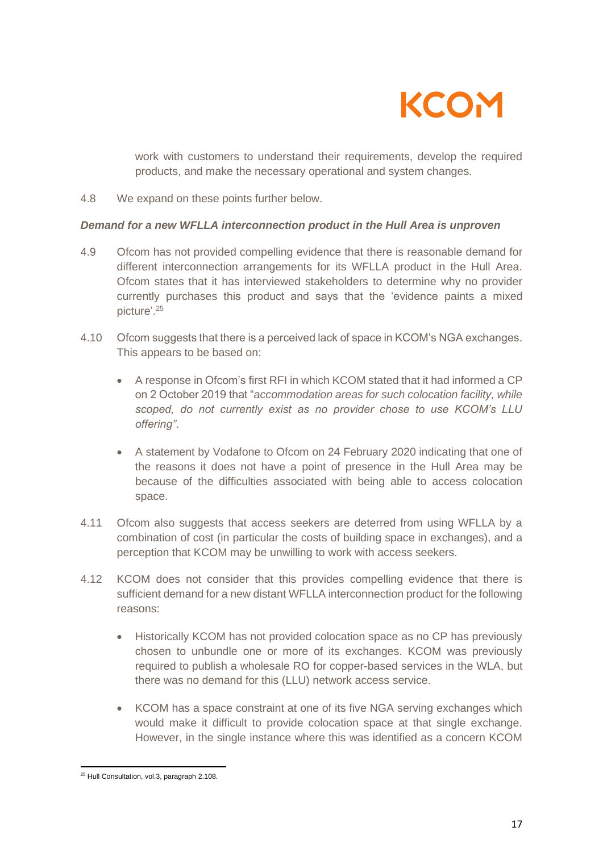

work with customers to understand their requirements, develop the required products, and make the necessary operational and system changes.

4.8 We expand on these points further below.

### *Demand for a new WFLLA interconnection product in the Hull Area is unproven*

- 4.9 Ofcom has not provided compelling evidence that there is reasonable demand for different interconnection arrangements for its WFLLA product in the Hull Area. Ofcom states that it has interviewed stakeholders to determine why no provider currently purchases this product and says that the 'evidence paints a mixed picture'.<sup>25</sup>
- 4.10 Ofcom suggests that there is a perceived lack of space in KCOM's NGA exchanges. This appears to be based on:
	- A response in Ofcom's first RFI in which KCOM stated that it had informed a CP on 2 October 2019 that "*accommodation areas for such colocation facility, while scoped, do not currently exist as no provider chose to use KCOM's LLU offering"*.
	- A statement by Vodafone to Ofcom on 24 February 2020 indicating that one of the reasons it does not have a point of presence in the Hull Area may be because of the difficulties associated with being able to access colocation space.
- 4.11 Ofcom also suggests that access seekers are deterred from using WFLLA by a combination of cost (in particular the costs of building space in exchanges), and a perception that KCOM may be unwilling to work with access seekers.
- 4.12 KCOM does not consider that this provides compelling evidence that there is sufficient demand for a new distant WFLLA interconnection product for the following reasons:
	- Historically KCOM has not provided colocation space as no CP has previously chosen to unbundle one or more of its exchanges. KCOM was previously required to publish a wholesale RO for copper-based services in the WLA, but there was no demand for this (LLU) network access service.
	- KCOM has a space constraint at one of its five NGA serving exchanges which would make it difficult to provide colocation space at that single exchange. However, in the single instance where this was identified as a concern KCOM

<sup>25</sup> Hull Consultation, vol.3, paragraph 2.108.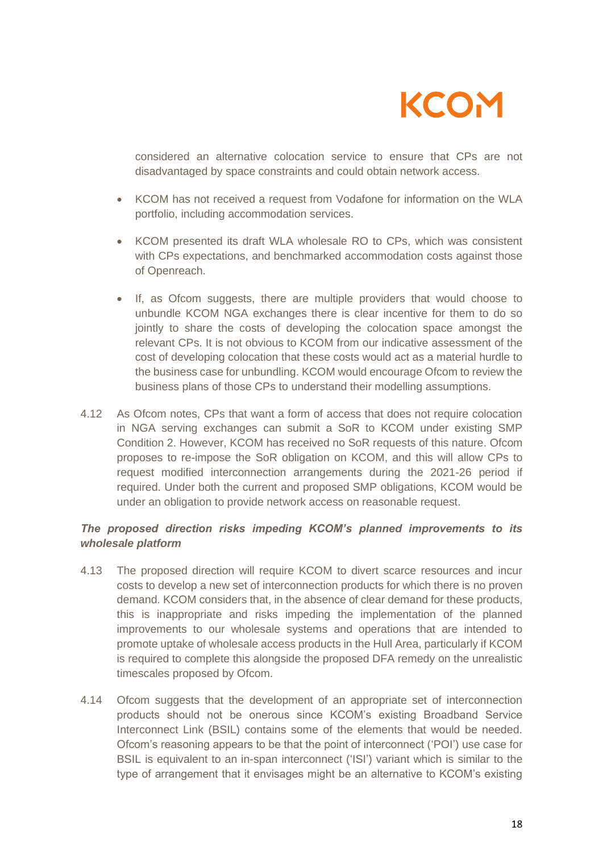

considered an alternative colocation service to ensure that CPs are not disadvantaged by space constraints and could obtain network access.

- KCOM has not received a request from Vodafone for information on the WLA portfolio, including accommodation services.
- KCOM presented its draft WLA wholesale RO to CPs, which was consistent with CPs expectations, and benchmarked accommodation costs against those of Openreach.
- If, as Ofcom suggests, there are multiple providers that would choose to unbundle KCOM NGA exchanges there is clear incentive for them to do so jointly to share the costs of developing the colocation space amongst the relevant CPs. It is not obvious to KCOM from our indicative assessment of the cost of developing colocation that these costs would act as a material hurdle to the business case for unbundling. KCOM would encourage Ofcom to review the business plans of those CPs to understand their modelling assumptions.
- 4.12 As Ofcom notes, CPs that want a form of access that does not require colocation in NGA serving exchanges can submit a SoR to KCOM under existing SMP Condition 2. However, KCOM has received no SoR requests of this nature. Ofcom proposes to re-impose the SoR obligation on KCOM, and this will allow CPs to request modified interconnection arrangements during the 2021-26 period if required. Under both the current and proposed SMP obligations, KCOM would be under an obligation to provide network access on reasonable request.

## *The proposed direction risks impeding KCOM's planned improvements to its wholesale platform*

- 4.13 The proposed direction will require KCOM to divert scarce resources and incur costs to develop a new set of interconnection products for which there is no proven demand. KCOM considers that, in the absence of clear demand for these products, this is inappropriate and risks impeding the implementation of the planned improvements to our wholesale systems and operations that are intended to promote uptake of wholesale access products in the Hull Area, particularly if KCOM is required to complete this alongside the proposed DFA remedy on the unrealistic timescales proposed by Ofcom.
- 4.14 Ofcom suggests that the development of an appropriate set of interconnection products should not be onerous since KCOM's existing Broadband Service Interconnect Link (BSIL) contains some of the elements that would be needed. Ofcom's reasoning appears to be that the point of interconnect ('POI') use case for BSIL is equivalent to an in-span interconnect ('ISI') variant which is similar to the type of arrangement that it envisages might be an alternative to KCOM's existing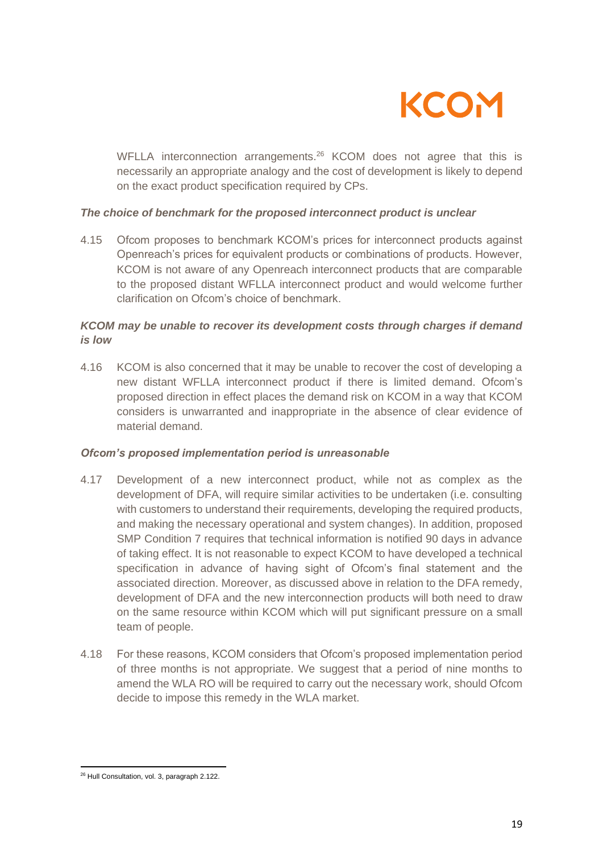

WFLLA interconnection arrangements.<sup>26</sup> KCOM does not agree that this is necessarily an appropriate analogy and the cost of development is likely to depend on the exact product specification required by CPs.

#### *The choice of benchmark for the proposed interconnect product is unclear*

4.15 Ofcom proposes to benchmark KCOM's prices for interconnect products against Openreach's prices for equivalent products or combinations of products. However, KCOM is not aware of any Openreach interconnect products that are comparable to the proposed distant WFLLA interconnect product and would welcome further clarification on Ofcom's choice of benchmark.

### *KCOM may be unable to recover its development costs through charges if demand is low*

4.16 KCOM is also concerned that it may be unable to recover the cost of developing a new distant WFLLA interconnect product if there is limited demand. Ofcom's proposed direction in effect places the demand risk on KCOM in a way that KCOM considers is unwarranted and inappropriate in the absence of clear evidence of material demand.

#### *Ofcom's proposed implementation period is unreasonable*

- 4.17 Development of a new interconnect product, while not as complex as the development of DFA, will require similar activities to be undertaken (i.e. consulting with customers to understand their requirements, developing the required products, and making the necessary operational and system changes). In addition, proposed SMP Condition 7 requires that technical information is notified 90 days in advance of taking effect. It is not reasonable to expect KCOM to have developed a technical specification in advance of having sight of Ofcom's final statement and the associated direction. Moreover, as discussed above in relation to the DFA remedy, development of DFA and the new interconnection products will both need to draw on the same resource within KCOM which will put significant pressure on a small team of people.
- 4.18 For these reasons, KCOM considers that Ofcom's proposed implementation period of three months is not appropriate. We suggest that a period of nine months to amend the WLA RO will be required to carry out the necessary work, should Ofcom decide to impose this remedy in the WLA market.

<sup>26</sup> Hull Consultation, vol. 3, paragraph 2.122.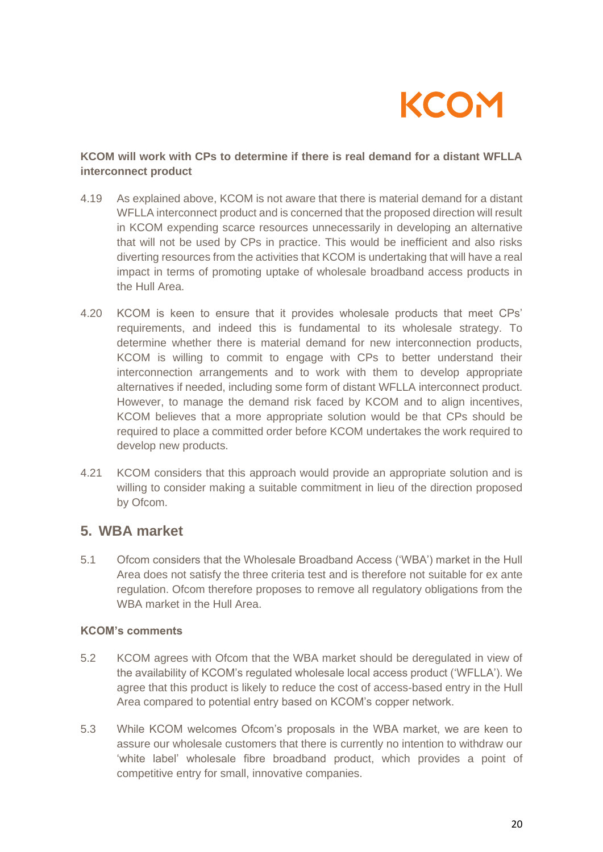

## **KCOM will work with CPs to determine if there is real demand for a distant WFLLA interconnect product**

- 4.19 As explained above, KCOM is not aware that there is material demand for a distant WFLLA interconnect product and is concerned that the proposed direction will result in KCOM expending scarce resources unnecessarily in developing an alternative that will not be used by CPs in practice. This would be inefficient and also risks diverting resources from the activities that KCOM is undertaking that will have a real impact in terms of promoting uptake of wholesale broadband access products in the Hull Area.
- 4.20 KCOM is keen to ensure that it provides wholesale products that meet CPs' requirements, and indeed this is fundamental to its wholesale strategy. To determine whether there is material demand for new interconnection products, KCOM is willing to commit to engage with CPs to better understand their interconnection arrangements and to work with them to develop appropriate alternatives if needed, including some form of distant WFLLA interconnect product. However, to manage the demand risk faced by KCOM and to align incentives, KCOM believes that a more appropriate solution would be that CPs should be required to place a committed order before KCOM undertakes the work required to develop new products.
- 4.21 KCOM considers that this approach would provide an appropriate solution and is willing to consider making a suitable commitment in lieu of the direction proposed by Ofcom.

## **5. WBA market**

5.1 Ofcom considers that the Wholesale Broadband Access ('WBA') market in the Hull Area does not satisfy the three criteria test and is therefore not suitable for ex ante regulation. Ofcom therefore proposes to remove all regulatory obligations from the WBA market in the Hull Area.

## **KCOM's comments**

- 5.2 KCOM agrees with Ofcom that the WBA market should be deregulated in view of the availability of KCOM's regulated wholesale local access product ('WFLLA'). We agree that this product is likely to reduce the cost of access-based entry in the Hull Area compared to potential entry based on KCOM's copper network.
- 5.3 While KCOM welcomes Ofcom's proposals in the WBA market, we are keen to assure our wholesale customers that there is currently no intention to withdraw our 'white label' wholesale fibre broadband product, which provides a point of competitive entry for small, innovative companies.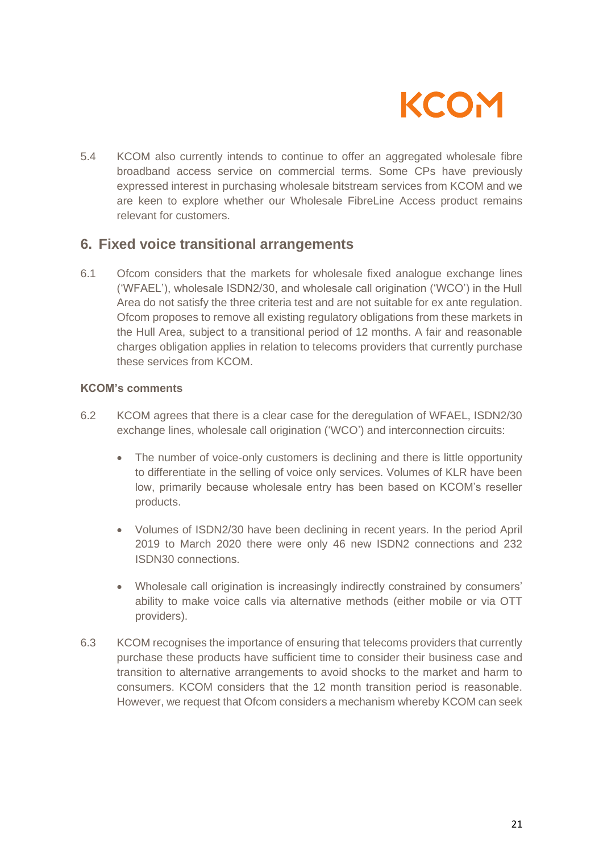

5.4 KCOM also currently intends to continue to offer an aggregated wholesale fibre broadband access service on commercial terms. Some CPs have previously expressed interest in purchasing wholesale bitstream services from KCOM and we are keen to explore whether our Wholesale FibreLine Access product remains relevant for customers.

## **6. Fixed voice transitional arrangements**

6.1 Ofcom considers that the markets for wholesale fixed analogue exchange lines ('WFAEL'), wholesale ISDN2/30, and wholesale call origination ('WCO') in the Hull Area do not satisfy the three criteria test and are not suitable for ex ante regulation. Ofcom proposes to remove all existing regulatory obligations from these markets in the Hull Area, subject to a transitional period of 12 months. A fair and reasonable charges obligation applies in relation to telecoms providers that currently purchase these services from KCOM.

#### **KCOM's comments**

- 6.2 KCOM agrees that there is a clear case for the deregulation of WFAEL, ISDN2/30 exchange lines, wholesale call origination ('WCO') and interconnection circuits:
	- The number of voice-only customers is declining and there is little opportunity to differentiate in the selling of voice only services. Volumes of KLR have been low, primarily because wholesale entry has been based on KCOM's reseller products.
	- Volumes of ISDN2/30 have been declining in recent years. In the period April 2019 to March 2020 there were only 46 new ISDN2 connections and 232 ISDN30 connections.
	- Wholesale call origination is increasingly indirectly constrained by consumers' ability to make voice calls via alternative methods (either mobile or via OTT providers).
- 6.3 KCOM recognises the importance of ensuring that telecoms providers that currently purchase these products have sufficient time to consider their business case and transition to alternative arrangements to avoid shocks to the market and harm to consumers. KCOM considers that the 12 month transition period is reasonable. However, we request that Ofcom considers a mechanism whereby KCOM can seek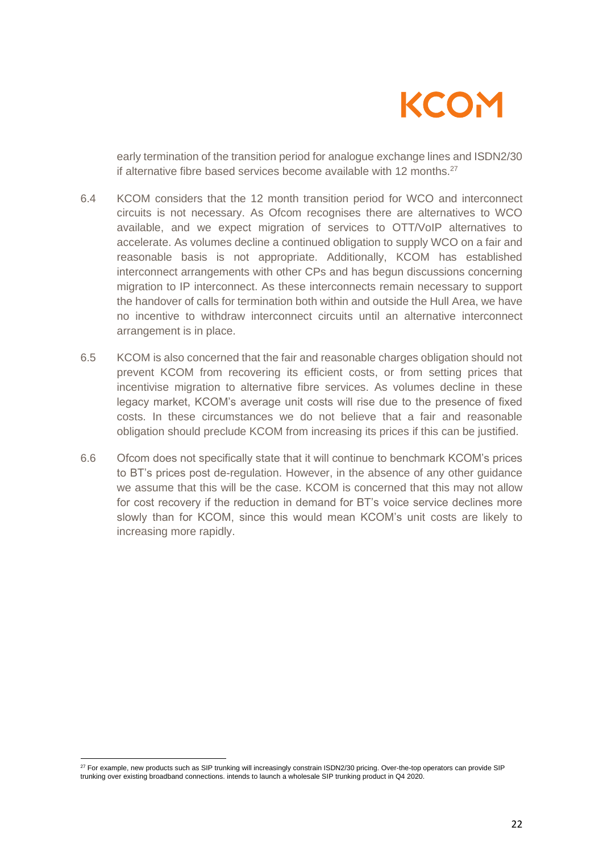

early termination of the transition period for analogue exchange lines and ISDN2/30 if alternative fibre based services become available with 12 months. $27$ 

- 6.4 KCOM considers that the 12 month transition period for WCO and interconnect circuits is not necessary. As Ofcom recognises there are alternatives to WCO available, and we expect migration of services to OTT/VoIP alternatives to accelerate. As volumes decline a continued obligation to supply WCO on a fair and reasonable basis is not appropriate. Additionally, KCOM has established interconnect arrangements with other CPs and has begun discussions concerning migration to IP interconnect. As these interconnects remain necessary to support the handover of calls for termination both within and outside the Hull Area, we have no incentive to withdraw interconnect circuits until an alternative interconnect arrangement is in place.
- 6.5 KCOM is also concerned that the fair and reasonable charges obligation should not prevent KCOM from recovering its efficient costs, or from setting prices that incentivise migration to alternative fibre services. As volumes decline in these legacy market, KCOM's average unit costs will rise due to the presence of fixed costs. In these circumstances we do not believe that a fair and reasonable obligation should preclude KCOM from increasing its prices if this can be justified.
- 6.6 Ofcom does not specifically state that it will continue to benchmark KCOM's prices to BT's prices post de-regulation. However, in the absence of any other guidance we assume that this will be the case. KCOM is concerned that this may not allow for cost recovery if the reduction in demand for BT's voice service declines more slowly than for KCOM, since this would mean KCOM's unit costs are likely to increasing more rapidly.

<sup>&</sup>lt;sup>27</sup> For example, new products such as SIP trunking will increasingly constrain ISDN2/30 pricing. Over-the-top operators can provide SIP trunking over existing broadband connections. intends to launch a wholesale SIP trunking product in Q4 2020.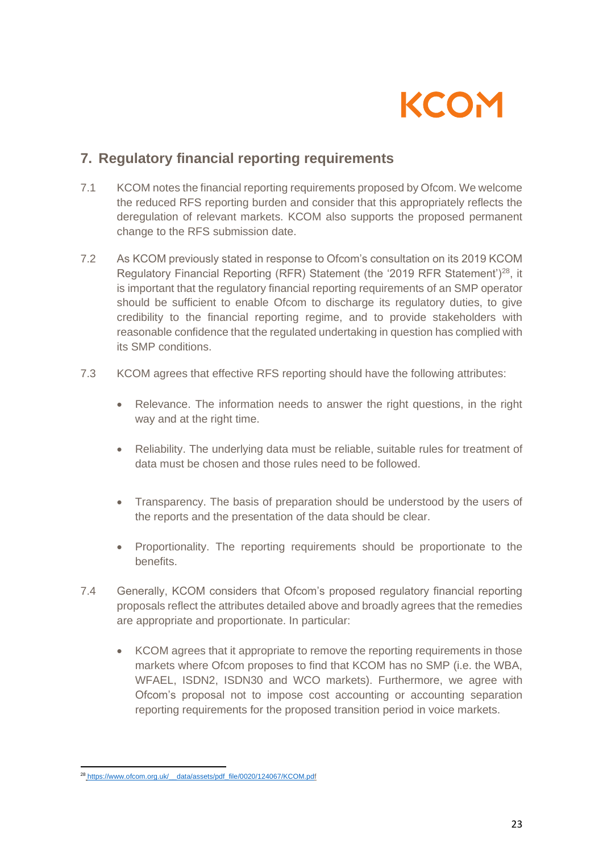

## **7. Regulatory financial reporting requirements**

- 7.1 KCOM notes the financial reporting requirements proposed by Ofcom. We welcome the reduced RFS reporting burden and consider that this appropriately reflects the deregulation of relevant markets. KCOM also supports the proposed permanent change to the RFS submission date.
- 7.2 As KCOM previously stated in response to Ofcom's consultation on its 2019 KCOM Regulatory Financial Reporting (RFR) Statement (the '2019 RFR Statement')<sup>28</sup>, it is important that the regulatory financial reporting requirements of an SMP operator should be sufficient to enable Ofcom to discharge its regulatory duties, to give credibility to the financial reporting regime, and to provide stakeholders with reasonable confidence that the regulated undertaking in question has complied with its SMP conditions.
- 7.3 KCOM agrees that effective RFS reporting should have the following attributes:
	- Relevance. The information needs to answer the right questions, in the right way and at the right time.
	- Reliability. The underlying data must be reliable, suitable rules for treatment of data must be chosen and those rules need to be followed.
	- Transparency. The basis of preparation should be understood by the users of the reports and the presentation of the data should be clear.
	- Proportionality. The reporting requirements should be proportionate to the benefits.
- 7.4 Generally, KCOM considers that Ofcom's proposed regulatory financial reporting proposals reflect the attributes detailed above and broadly agrees that the remedies are appropriate and proportionate. In particular:
	- KCOM agrees that it appropriate to remove the reporting requirements in those markets where Ofcom proposes to find that KCOM has no SMP (i.e. the WBA, WFAEL, ISDN2, ISDN30 and WCO markets). Furthermore, we agree with Ofcom's proposal not to impose cost accounting or accounting separation reporting requirements for the proposed transition period in voice markets.

<sup>&</sup>lt;sup>28</sup> https://www.ofcom.org.uk/ data/assets/pdf\_file/0020/124067/KCOM.pdf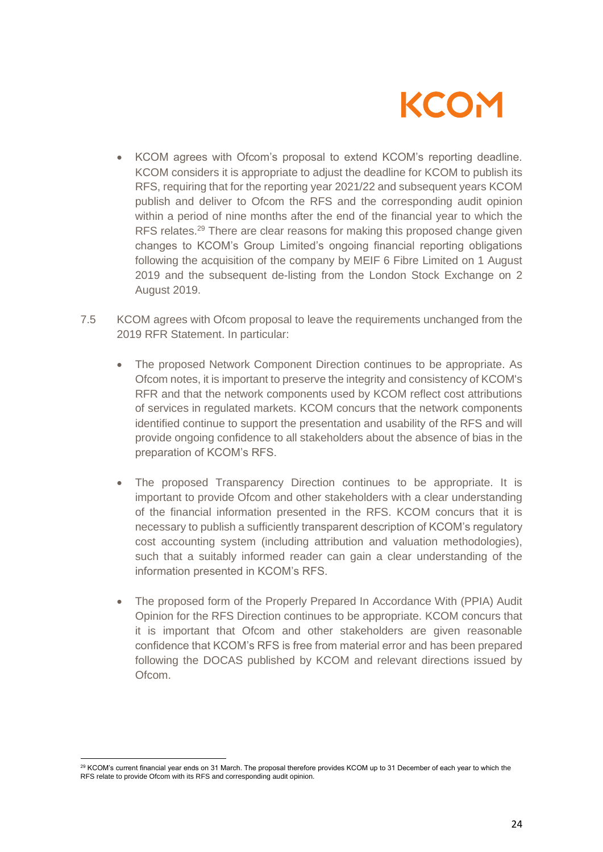

- KCOM agrees with Ofcom's proposal to extend KCOM's reporting deadline. KCOM considers it is appropriate to adjust the deadline for KCOM to publish its RFS, requiring that for the reporting year 2021/22 and subsequent years KCOM publish and deliver to Ofcom the RFS and the corresponding audit opinion within a period of nine months after the end of the financial year to which the RFS relates.<sup>29</sup> There are clear reasons for making this proposed change given changes to KCOM's Group Limited's ongoing financial reporting obligations following the acquisition of the company by MEIF 6 Fibre Limited on 1 August 2019 and the subsequent de-listing from the London Stock Exchange on 2 August 2019.
- 7.5 KCOM agrees with Ofcom proposal to leave the requirements unchanged from the 2019 RFR Statement. In particular:
	- The proposed Network Component Direction continues to be appropriate. As Ofcom notes, it is important to preserve the integrity and consistency of KCOM's RFR and that the network components used by KCOM reflect cost attributions of services in regulated markets. KCOM concurs that the network components identified continue to support the presentation and usability of the RFS and will provide ongoing confidence to all stakeholders about the absence of bias in the preparation of KCOM's RFS.
	- The proposed Transparency Direction continues to be appropriate. It is important to provide Ofcom and other stakeholders with a clear understanding of the financial information presented in the RFS. KCOM concurs that it is necessary to publish a sufficiently transparent description of KCOM's regulatory cost accounting system (including attribution and valuation methodologies), such that a suitably informed reader can gain a clear understanding of the information presented in KCOM's RFS.
	- The proposed form of the Properly Prepared In Accordance With (PPIA) Audit Opinion for the RFS Direction continues to be appropriate. KCOM concurs that it is important that Ofcom and other stakeholders are given reasonable confidence that KCOM's RFS is free from material error and has been prepared following the DOCAS published by KCOM and relevant directions issued by Ofcom.

<sup>&</sup>lt;sup>29</sup> KCOM's current financial year ends on 31 March. The proposal therefore provides KCOM up to 31 December of each year to which the RFS relate to provide Ofcom with its RFS and corresponding audit opinion.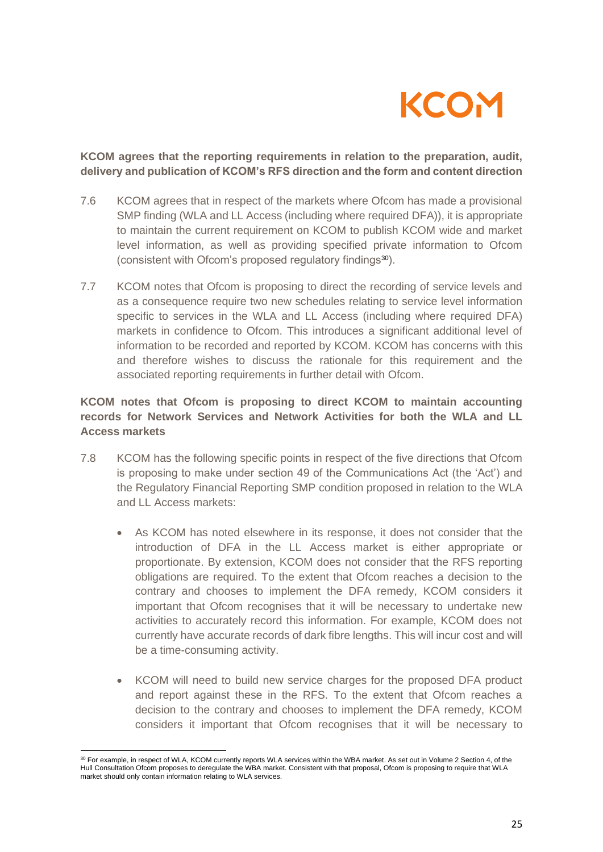

### **KCOM agrees that the reporting requirements in relation to the preparation, audit, delivery and publication of KCOM's RFS direction and the form and content direction**

- 7.6 KCOM agrees that in respect of the markets where Ofcom has made a provisional SMP finding (WLA and LL Access (including where required DFA)), it is appropriate to maintain the current requirement on KCOM to publish KCOM wide and market level information, as well as providing specified private information to Ofcom (consistent with Ofcom's proposed regulatory findings30).
- 7.7 KCOM notes that Ofcom is proposing to direct the recording of service levels and as a consequence require two new schedules relating to service level information specific to services in the WLA and LL Access (including where required DFA) markets in confidence to Ofcom. This introduces a significant additional level of information to be recorded and reported by KCOM. KCOM has concerns with this and therefore wishes to discuss the rationale for this requirement and the associated reporting requirements in further detail with Ofcom.

## **KCOM notes that Ofcom is proposing to direct KCOM to maintain accounting records for Network Services and Network Activities for both the WLA and LL Access markets**

- 7.8 KCOM has the following specific points in respect of the five directions that Ofcom is proposing to make under section 49 of the Communications Act (the 'Act') and the Regulatory Financial Reporting SMP condition proposed in relation to the WLA and LL Access markets:
	- As KCOM has noted elsewhere in its response, it does not consider that the introduction of DFA in the LL Access market is either appropriate or proportionate. By extension, KCOM does not consider that the RFS reporting obligations are required. To the extent that Ofcom reaches a decision to the contrary and chooses to implement the DFA remedy, KCOM considers it important that Ofcom recognises that it will be necessary to undertake new activities to accurately record this information. For example, KCOM does not currently have accurate records of dark fibre lengths. This will incur cost and will be a time-consuming activity.
	- KCOM will need to build new service charges for the proposed DFA product and report against these in the RFS. To the extent that Ofcom reaches a decision to the contrary and chooses to implement the DFA remedy, KCOM considers it important that Ofcom recognises that it will be necessary to

<sup>30</sup> For example, in respect of WLA, KCOM currently reports WLA services within the WBA market. As set out in Volume 2 Section 4, of the Hull Consultation Ofcom proposes to deregulate the WBA market. Consistent with that proposal, Ofcom is proposing to require that WLA market should only contain information relating to WLA services.